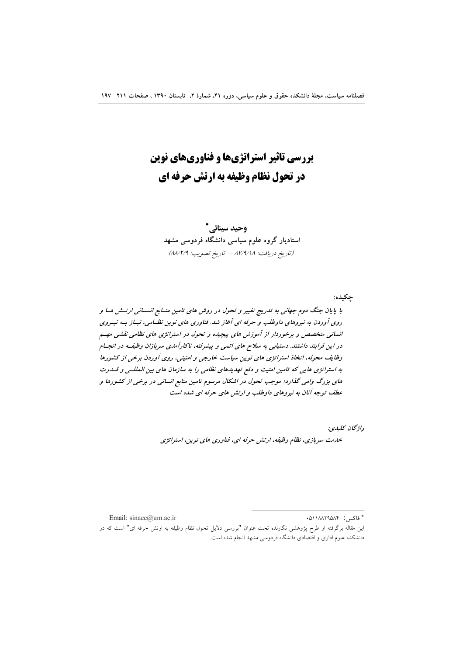# **بررسی تاثیر استراتژیها و فناوریهای نوین در تحول نظام وظیفه به ارتش حرفه ای**

وحيد سينائى<sup>\*</sup> ستادیار گروه علوم سیاسی دانشگاه فردوسی مشهد  $\overline{\phantom{a}}$ (تاریخ دریافت: ۸۷/۹/۱۸ – تاریخ تصویب: ۸۸/۲/۹)

با پایان جنگ دوم جهانی به تدریج تغییر و تحول در روش های تامین منـابع انــسانی ارتــش هــا و دوی آوردن به نیروهای داوطلب و حرفه ای آغاز شد. فناوری های نوین نظـامی، نیـاز بــه نیـوی انسانی متخصص و برخوردار از آموزش های پیچیده و تحول در استراتژی های نظامی نقشی مهسم در این فرایند داشتند. دستیابی به سلاح های اتمی و پیشرفته، ناکارآمدی سربازان وظیفـه در انجــام وظایف محوله، انخاذ استراتژی های نوین سیاست خارجی و امنیتی، روی آوردن برخی از کشورها به استراتژی هایی که تامین امنیت و دفع تهدیدهای نظامی را به سازمان های بین المللــی و قــدرت های بزرگ وامی گذارد؛ موجب تحول در اشکال مرسوم تامین منابع انسانی در برخی از کشورها و عطف توجه آنان به نیروهای داوطلب و ارتش های حرفه ای شده است

واژگان كليدي*:* 

جکیده:

خدمت سربازی، نظام وظیفه، ارتش حرفه ای، فناوری های نوین، استراتژی

Email: sinaee@um.ac.ir

<sup>\*</sup> فاكس: 011AA۲۹۵A۴

این مقاله برگرفته از طرح پژوهشی نگارنده تحت عنوان "بررسی دلایل تحول نظام وظیفه به ارتش حرفه ای" است که در دانشکده علوم اداری و اقتصادی دانشگاه فردوسی مشهد انجام شده است.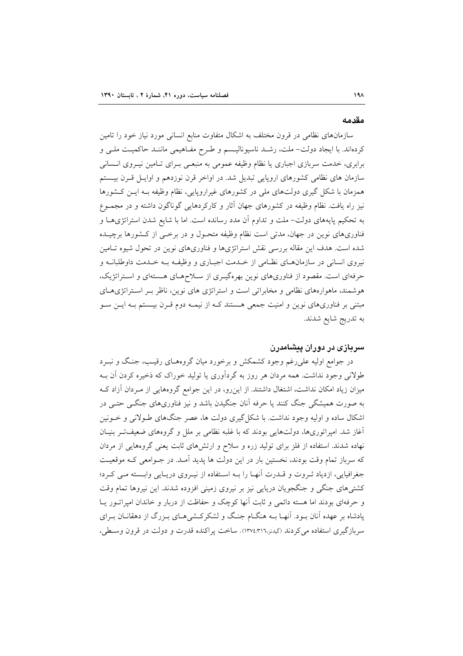#### مقدمه

سازمانهای نظامی در قرون مختلف به اشکال متفاوت منابع انسانی مورد نیاز خود را تامین کردهاند. با ایجاد دولت– ملت، رشـد ناسیونالیـسم و طـرح مفـاهیمی ماننـد حاکمیـت ملـی و برابری، خدمت سربازی اجباری یا نظام وظیفه عمومی به منبعـی بـرای تـامین نیـروی انـسانی سازمان های نظامی کشورهای اروپایی تبدیل شد. در اواخر قرن نوزدهم و اوایـل قـرن بیـستم همزمان با شکل گیری دولتهای ملی در کشورهای غیراروپایی، نظام وظیفه بـه ایـن کـشورها نیز راه یافت. نظام وظیفه در کشورهای جهان آثار و کارکردهایی گوناگون داشته و در مجمـوع به تحکیم پایههای دولت– ملت و تداوم آن مدد رسانده است. اما با شایع شدن استراتژیهـا و فناوریهای نوین در جهان، مدتی است نظام وظیفه متحـول و در برخـی از کـشورها برچیــده شده است. هدف این مقاله بررسی نقش استراتژیها و فناوریهای نوین در تحول شیوه تـامین نیروی انسانی در سازمان های نظامی از خـدمت اجبـاری و وظیفـه بـه خـدمت داوطلبانـه و حرفهای است. مقصود از فناوریهای نوین بهرهگیـری از سـلاحهـای هـستهای و اسـتراتژیک، هوشمند، ماهوارههای نظامی و مخابراتی است و استراتژی های نوین، ناظر بـر استراتژیهای مبتنی بر فناوریهای نوین و امنیت جمعی هستند کـه از نیمـه دوم قـرن بیـستم بـه ایــن ســو به تدريج شايع شدند.

# سربازی در دوران پیشامدرن

در جوامع اولیه علی رغم وجود کشمکش و برخورد میان گروههـای رقیـب، جنـگ و نبــرد طولانی وجود نداشت. همه مردان هر روز به گردآوری یا تولید خوراک که ذخیره کردن آن بـه میزان زیاد امکان نداشت، اشتغال داشتند. از این٫و، در این جوامع گروههایی از مـردان آزاد کـه به صورت همیشگی جنگ کنند یا حرفه آنان جنگیدن باشد و نیز فناوریهای جنگـی حتـی در اشکال ساده و اولیه وجود نداشت. با شکل گیری دولت ها، عصر جنگهای طـولانی و خــونین آغاز شد. امپراتوریها، دولتهایی بودند که با غلبه نظامی بر ملل و گروههای ضعیفتر بنیـان نهاده شدند. استفاده از فلز برای تولید زره و سلاح و ارتشهای ثابت یعنی گروههایی از مردان که سرباز تمام وقت بودند، نخستین بار در این دولت ها پدید آمـد. در جـوامعی کـه موقعیـت جغرافیایی، ازدیاد ثـروت و قــدرت آنهـا را بــه اسـتفاده از نیـروی دریـایی وابــسته مــی کـرد؛ کشتیهای جنگی و جنگجویان دریایی نیز بر نیروی زمینی افزوده شدند. این نیروها تمام وقت و حرفهای بودند اما هسته دائمی و ثابت آنها کوچک و حفاظت از دربار و خاندان امپراتـور يـا پادشاه بر عهده آنان بود. آنهـا بـه هنگـام جنـگ و لشكركـشىهـاى بـزرگ از دهقانـان بـراى سربازگیری استفاده می کردند (گیدنن.۱۳۷٤:۳۱٦). ساخت پراکنده قدرت و دولت در قرون وسطی،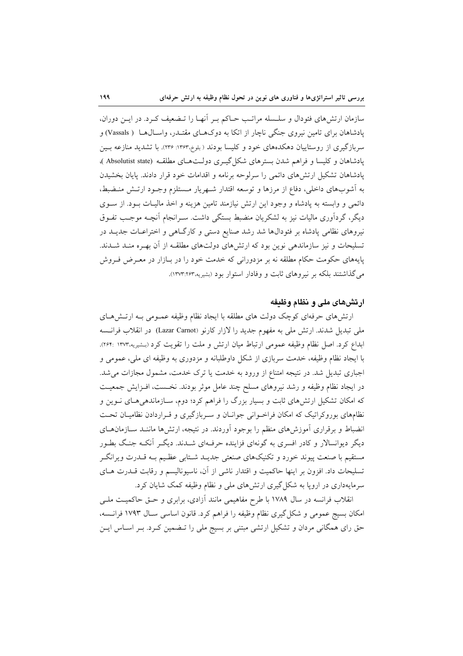سازمان ارتش،های فئودال و سلسله مراتب حـاکم بـر آنهـا را تـضعیف کـرد. در ایـن دوران، یادشاهان برای تامین نیروی جنگی ناچار از اتکا به دوکهـای مقتـدر، واسـال۱هـا ( Vassals) و سربازگیری از روستاییان دهکدههای خود و کلیسا بودند (بلوخ،۱۳۶۳: ۲۳۶). با تشدید منازعه بـین یادشاهان و کلیسا و فراهم شدن بسترهای شکل گیـری دولـتهـای مطلقـه (Absolutist state)، یادشاهان تشکیل ارتش های دائمی را سرلوحه برنامه و اقدامات خود قرار دادند. پایان بخشیدن به اَشوبهای داخلی، دفاع از مرزها و توسعه اقتدار شـهریار مـستلزم وجـود ارتـش منـضبط، دائمی و وابسته به پادشاه و وجود این ارتش نیازمند تامین هزینه و اخذ مالیـات بـود. از سـوی دیگر، گردآوری مالیات نیز به لشکریان منضبط بستگی داشت. سـرانجام اَنچــه موجـــــ تفــوق نیروهای نظامی پادشاه بر فئودالها شد رشد صنایع دستی و کارگـاهی و اختراعــات جدیــد در تسلیحات و نیز سازماندهی نوین بود که ارتشهای دولتهای مطلقـه از آن بهـره منـد شـدند. پایههای حکومت حکام مطلقه نه بر مزدورانی که خدمت خود را در بـازار در معـرض فـروش می گذاشتند بلکه بر نیروهای ثابت و وفادار استوار بود (بشیریه،۱۳۷۳:۲۶۳).

# ارتشهای ملی و نظام وظیفه

ارتشهای حرفهای کوچک دولت های مطلقه با ایجاد نظام وظیفه عمـومی بـه ارتـشهـای ملي تبديل شدند. ارتش ملي به مفهوم جديد را لازار كارنو (Lazar Carnot) در انقلاب فرانسه ابداع كرد. اصل نظام وظيفه عمومي ارتباط ميان ارتش و ملت را تقويت كرد (بـشيريه.۱۳۷۳ :۱۶۴). با ایجاد نظام وظیفه، خدمت سربازی از شکل داوطلبانه و مزدوری به وظیفه ای ملی، عمومی و اجباری تبدیل شد. در نتیجه امتناع از ورود به خدمت یا ترک خدمت، مشمول مجازات می شد. در ایجاد نظام وظیفه و رشد نیروهای مسلح چند عامل موثر بودند. نخست، افـزایش جمعیـت که امکان تشکیل ارتشهای ثابت و بسیار بزرگ را فراهم کرد؛ دوم، سـازماندهیهای نـوین و نظامهای بوروکراتیک که امکان فراخـوانی جوانـان و سـربازگیری و قـراردادن نظامیـان تحـت انضباط و برقراری آموزشهای منظم را بوجود آوردند. در نتیجه، ارتشها ماننـد سـازمانهـای دیگر دیوانسالار و کادر افسری به گونهای فزاینده حرفـهای شــدند. دیگـر آنکـه جنـگ بطـور مستقیم با صنعت پیوند خورد و تکنیکهای صنعتی جدیـد شـتابی عظـیم بـه قـدرت ویرانگـر تسلیحات داد. افزون بر اینها حاکمیت و اقتدار ناشی از آن، ناسیونالیسم و رقابت قــدرت هــای سرمایهداری در اروپا به شکل گیری ارتشهای ملی و نظام وظیفه کمک شایان کرد.

انقلاب فرانسه در سال ۱۷۸۹ با طرح مفاهیمی مانند آزادی، برابری و حـق حاکمیـت ملـی امکان بسیج عمومی و شکل گیری نظام وظیفه را فراهم کرد. قانون اساسی سال ۱۷۹۳ فرانسه، حق رای همگانی مردان و تشکیل ارتشی مبتنی بر بسیج ملی را تـضمین کـرد. بـر اسـاس ایـن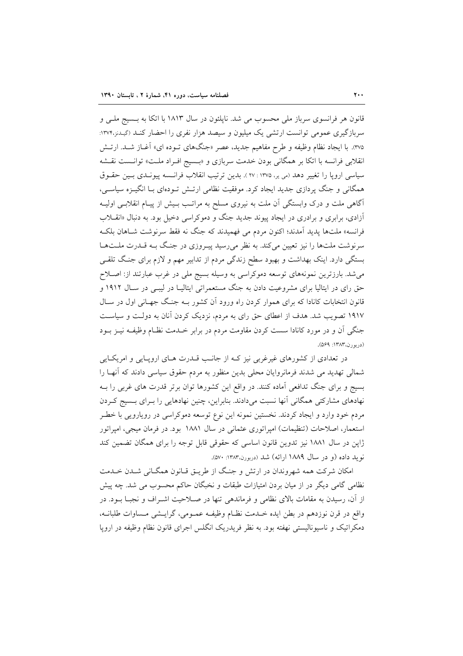قانون هر فرانسوی سرباز ملی محسوب می شد. ناپلئون در سال ۱۸۱۳ با اتکا به بـسیج ملـی و سربازگیری عمومی توانست ارتشی یک میلیون و سیصد هزار نفری را احضار کنـد (گیـدنن١٣٧۴: ۳۷۵). با ایجاد نظام وظیفه و طرح مفاهیم جدید، عصر «جنگهای تـوده ای» آغـاز شـد. ارتـش انقلابی فرانسه با اتکا بر همگانی بودن خدمت سربازی و «بـسیج افـراد ملـت» توانـست نقـشه سياسي ارويا را تغيير دهد (مي ير، ١٣٧٥ : ٢٧ ). بدين ترتيب انقلاب فرانسه پيونـدي بـين حقـوق همگانی و جنگ پردازی جدید ایجاد کرد. موفقیت نظامی ارتـش تـودهای بـا انگیـزه سیاسـی، آگاهی ملت و درک وابستگی آن ملت به نیروی مسلح به مراتـب بـیش از پیـام انقلابـی اولیـه آزادی، برابری و برادری در ایجاد پیوند جدید جنگ و دموکراسی دخیل بود. به دنبال «انقــلاب فرانسه» ملتها پدید آمدند؛ اکنون مردم می فهمیدند که جنگ نه فقط سرنوشت شـاهان بلکـه سرنوشت ملتها را نیز تعیین میکند. به نظر میرسید پیـروزی در جنگ بـه قـدرت ملـتهـا بستگی دارد. اینک بهداشت و بهبود سطح زندگی مردم از تدابیر مهم و لازم برای جنگ تلقبی می شد. بارزترین نمونههای توسعه دموکراسی به وسیله بسیج ملی در غرب عبارتند از: اصـلاح حق رای در ایتالیا برای مشروعیت دادن به جنگ مستعمراتی ایتالیـا در لیبـی در سـال ۱۹۱۲ و قانون انتخابات کانادا که برای هموار کردن راه ورود آن کشور بـه جنگ جهـانی اول در سـال ۱۹۱۷ تصویب شد. هدف از اعطای حق رای به مردم، نزدیک کردن آنان به دولت و سیاست جنگی آن و در مورد کانادا سست کردن مقاومت مردم در برابر خــدمت نظـام وظیفـه نیــز بــود (دربورن،١٣٨٣: ٥۶٩).

در تعدادی از کشورهای غیرغربی نیز کـه از جانـب قــدرت هــای اروپــایی و امریکــایی شمالی تهدید می شدند فرمانروایان محلی بدین منظور به مردم حقوق سیاسی دادند که آنهـا را بسیج و برای جنگ تدافعی آماده کنند. در واقع این کشورها توان برتر قدرت های غربی را بـه نهادهای مشارکتی همگانی آنها نسبت میدادند. بنابراین، چنین نهادهایی را بـرای بـسیج کـردن مردم خود وارد و ایجاد کردند. نخستین نمونه این نوع توسعه دموکراسی در رویارویی با خطـر استعمار، اصلاحات (تنظیمات) امپراتوری عثمانی در سال ۱۸۸۱ بود. در فرمان میجی، امپراتور ژاپن در سال ۱۸۸۱ نیز تدوین قانون اساسی که حقوقی قابل توجه را برای همگان تضمین کند نو بد داده (و در سال ۱۸۸۹ ارائه) شد (دربورن،۱۳۸۳: ۵۷۰).

امکان شرکت همه شهروندان در ارتش و جنگ از طریــق قــانون همگــانی شــدن خــدمت نظامی گامی دیگر در از میان بردن امتیازات طبقات و نخبگان حاکم محسوب می شد. چه پیش از آن، رسیدن به مقامات بالای نظامی و فرماندهی تنها در صـلاحیت اشـراف و نجبــا بــود. در واقع در قرن نوزدهم در بطن ايده خـدمت نظـام وظيفـه عمـومي، گرايـشي مـساوات طلبانــه، دمکراتیک و ناسیونالیستی نهفته بود. به نظر فریدریک انگلس اجرای قانون نظام وظیفه در اروپا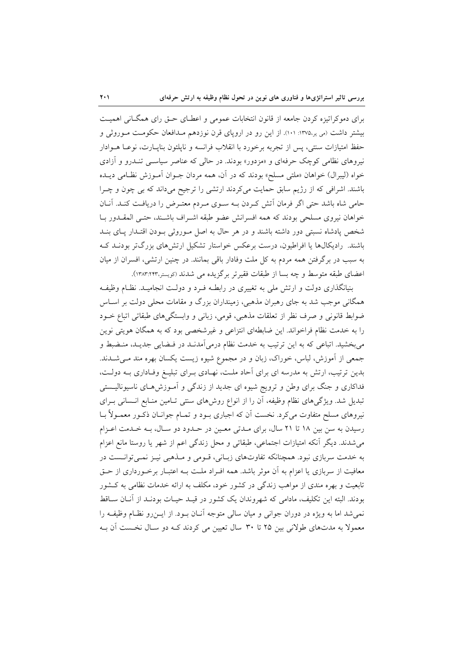برای دموکراتیزه کردن جامعه از قانون انتخابات عمومی و اعطـای حـق رای همگـانی اهمیـت بیشتر داشت (می یر۱۳۷۵: ۱۰۱). از این رو در اروپای قرن نوزدهم مـدافعان حکومـت مـوروثی و حفظ امتیازات سنتی، پس از تجربه برخورد با انقلاب فرانسه و ناپلئون بناپیارت، نوعا هـوادار نیروهای نظامی کوچک حرفهای و «مزدور» بودند. در حالی که عناصر سیاسـی تنـدرو و آزادی خواه (ليبرال) خواهان «ملتي مسلح» بودند كه در آن، همه مردان جـوان آمـوزش نظـامي ديــده باشند. اشرافی که از رژیم سابق حمایت میکردند ارتشی را ترجیح میداند که بی چون و چـرا حامی شاه باشد حتی اگر فرمان آتش کـردن بــه ســوی مــردم معتــرض را دریافــت کنــد. آنــان خواهان نیروی مسلحی بودند که همه افسرانش عضو طبقه اشـراف باشـند، حتـی المقـدور بـا شخص پادشاه نسبتی دور داشته باشند و در هر حال به اصل موروثی بودن اقتبدار پیای بنید باشند. رادیکالها یا افراطیون، درست برعکس خواستار تشکیل ارتشهای بزرگتر بودنـد کـه به سبب در برگرفتن همه مردم به كل ملت وفادار باقى بمانند. در چنين ارتشى، افسران از ميان اعضای طبقه متوسط و چه بسا از طبقات فقیرتر برگزیده می شدند (کویستر،۱۳۸۳:۲۴۳).

بنیانگذاری دولت و ارتش ملی به تغییری در رابطـه فـرد و دولـت انجامیـد. نظـام وظیفـه همگانی موجب شد به جای رهبران مذهبی، زمینداران بزرگ و مقامات محلی دولت بر اسـاس ضوابط قانونی و صرف نظر از تعلقات مذهبی، قومی، زبانی و وابستگیهای طبقاتی اتباع خـود را به خدمت نظام فراخواند. این ضابطهای انتزاعی و غیرشخصی بود که به همگان هویتی نوین می بخشید. اتباعی که به این ترتیب به خدمت نظام درمیآمدند در فـضایی جدیـد، منـضبط و جمعی از آموزش، لباس، خوراک، زبان و در مجموع شیوه زیست یکسان بهره مند مـیشــدند. بدین ترتیب، ارتش به مدرسه ای برای آحاد ملت، نهـادی بـرای تبلیـغ وفـاداری بـه دولـت، فداکاری و جنگ برای وطن و ترویج شیوه ای جدید از زندگی و آمـوزش۵هـای ناسیونالیــستی تبدیل شد. ویژگیهای نظام وظیفه، آن را از انواع روشهای سنتی تـامین منـابع انـسانی بـرای نیروهای مسلح متفاوت می کرد. نخست آن که اجباری بــود و تمــام جوانــان ذکــور معمــولاً بــا رسیدن به سن بین ١٨ تا ٢١ سال، برای مـدتی معـین در حـدود دو سـال، بـه خـدمت اعـزام می شدند. دیگر آنکه امتیازات اجتماعی، طبقاتی و محل زندگی اعم از شهر یا روستا مانع اعزام به خدمت سربازی نبود. همچنانکه تفاوتهای زبـانی، قـومی و مـذهبی نیـز نمـی توانـست در معافیت از سربازی یا اعزام به آن موثر باشد. همه افـراد ملـت بـه اعتبـار برخـورداری از حـق تابعیت و بهره مندی از مواهب زندگی در کشور خود، مکلف به ارائه خدمات نظامی به کـشور بودند. البته این تکلیف، مادامی که شهروندان یک کشور در قیـد حیـات بودنـد از آنـان سـاقط نمي شد اما به ويژه در دوران جواني و ميان سالي متوجه آنــان بــود. از ايــن(و نظــام وظيفــه را معمولاً به مدتهای طولانی بین ۲۵ تا ۳۰ سال تعیین می کردند کـه دو سـال نخـست آن بـه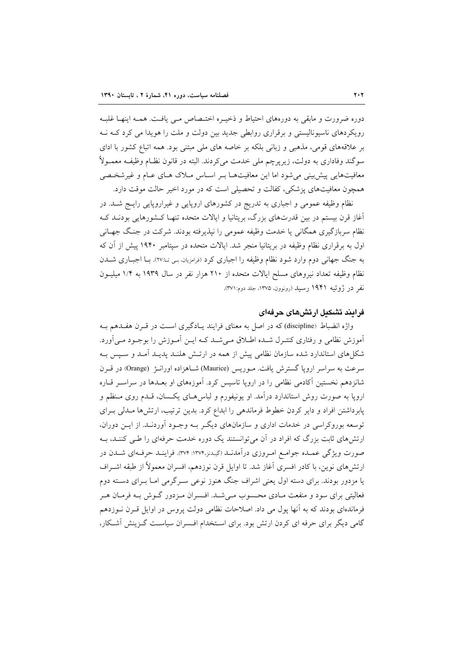دوره ضرورت و مابقی به دورههای احتیاط و ذخیـره اختـصاص مـی یافـت. همـه اینهـا غلبـه رویکر دهای ناسیونالیستی و برقراری روابطی جدید بین دولت و ملت را هویدا می کرد کـه نـه بر علاقههای قومی، مذهبی و زبانی بلکه بر خاصه های ملی مبتنی بود. همه اتباع کشور با ادای سوگند وفاداری به دولت، زیرپرچم ملی خدمت میکردند. البته در قانون نظـام وظیفـه معمـولاً معافیتهایی پیش بینی می شود اما این معافیتها بـر اسـاس مـلاک هـای عـام و غیرشخـصی همچون معافیتهای پزشکی، کفالت و تحصیلی است که در مورد اخیر حالت موقت دارد.

نظام وظیفه عمومی و اجباری به تدریج در کشورهای اروپایی و غیراروپایی رایــج شــد. در آغاز قرن بیستم در بین قدرتهای بزرگ، بریتانیا و ایالات متحده تنهـا کـشورهایی بودنــد کـه نظام سربازگیری همگانی یا خدمت وظیفه عمومی را نیذیرفته بودند. شرکت در جنگ جهـانی اول به برقراری نظام وظیفه در بریتانیا منجر شد. ایالات متحده در سپتامبر ۱۹۴۰ پیش از آن که به جنگ جهانی دوم وارد شود نظام وظیفه را اجباری کرد (فرامزیان، بـی تـا:۲۷). بــا اجبــاری شـــدن نظام وظيفه تعداد نيروهاى مسلح ايالات متحده از ٢١٠ هزار نفر در سال ١٩٣٩ به ١/٤ ميليــون نفر در ژوئیه ۱۹۴۱ رسید (رونوون، ۱۳۷۵، جلد دوم:۳۷۱).

## فرایند تشکیل ارتش های جرفهای

واژه انضباط (discipline) که در اصل به معنای فرایند یـادگیری اسـت در قـرن هفـدهم بـه آموزش نظامی و رفتاری کنتـرل شــده اطــلاق مــیشــد کــه ایــن آمــوزش را بوجــود مــیآورد. شکلهای استاندارد شده سازمان نظامی پیش از همه در ارتـش هلنـد پدیـد آمـد و سـیس بـه سرعت به سراسر اروپا گسترش یافت. مـوریس (Maurice) شـاهزاده اورانـژ (Orange) در قـرن شانزدهم نخستین آکادمی نظامی را در اروپا تاسیس کرد. آموزههای او بعـدها در سراسـر قــاره اروپا به صورت روش استاندارد درآمد. او یونیفورم و لباس هـای یکـسان، قـدم روی مـنظم و پابرداشتن افراد و دایر کردن خطوط فرماندهی را ابداع کرد. بدین ترتیب، ارتشها مـدلی بـرای توسعه بوروکراسی در خدمات اداری و سازمانهای دیگر بـه وجـود آوردنـد. از ایـن دوران، ارتش های ثابت بزرگ که افراد در آن می توانستند یک دوره خدمت حرفهای را طبی کننـد، بـه صورت ویژگی عمـده جوامـع امـروزی درآمدنـد (گیـدنن١٣٧۴: ٣٧۴). فراینـد حرفـهای شـدن در ارتشهای نوین، با کادر افسری آغاز شد. تا اوایل قرن نوزدهم، افسران معمولاً از طبقه اشـراف یا مزدور بودند. برای دسته اول یعنی اشراف جنگ هنوز نوعی سـرگرمی امـا بـرای دسـته دوم فعالیتی برای سود و منفعت مـادی محـسوب مـیشـد. افـسران مـزدور گـوش بـه فرمـان هـر فرماندهای بودند که به آنها یول می داد. اصلاحات نظامی دولت پروس در اوایل قـرن نــوزدهم گامی دیگر برای حرفه ای کردن ارتش بود. برای استخدام افسران سیاست گـزینش آشـکار،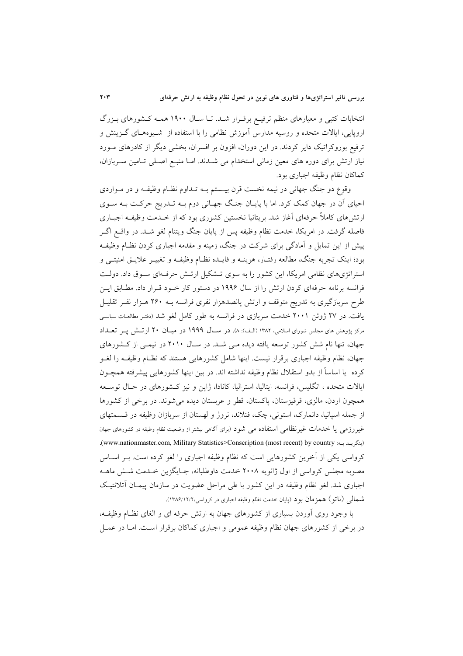انتخابات کتبی و معیارهای منظم ترفیـع برقـرار شـد. تـا سـال ۱۹۰۰ همـه کـشورهای بـزرگ اروپایی، ایالات متحده و روسیه مدارس آموزش نظامی را با استفاده از شـیوههـای گـزینش و ترفیع بوروکراتیک دایر کردند. در این دوران، افزون بر افسران، بخشی دیگر از کادرهای مـورد نیاز ارتش برای دوره های معین زمانی استخدام می شدند. امـا منبـع اصـلی تـامین سـربازان، كماكان نظام وظيفه اجباري بود.

وقوع دو جنگ جهانی در نیمه نخست قرن بیـستم بــه تــداوم نظـام وظیفــه و در مــواردی احیای آن در جهان کمک کرد. اما با پایـان جنـگ جهـانی دوم بـه تـدریج حرکـت بـه سـوی ارتشهای کاملاً حرفهای آغاز شد. بریتانیا نخستین کشوری بود که از خـدمت وظیفـه اجبـاری فاصله گرفت. در امریکا، خدمت نظام وظیفه پس از پایان جنگ ویتنام لغو شـد. در واقــع اگــر پیش از این تمایل و آمادگی برای شرکت در جنگ، زمینه و مقدمه اجباری کردن نظـام وظیفـه بود؛ اینک تجربه جنگ، مطالعه رفتـار، هزینــه و فایــده نظــام وظیفــه و تغییــر علایــق امنیتــی و استراتژیهای نظامی امریکا، این کشور را به سوی تـشکیل ارتـش حرفـهای سـوق داد. دولـت فرانسه برنامه حرفهای کردن ارتش را از سال ۱۹۹۶ در دستور کار خـود قـرار داد. مطـابق ايـن طرح سربازگیری به تدریج متوقف و ارتش پانصدهزار نفری فرانسه بـه ۲۶۰ هـزار نفـر تقلیـل یافت. در ۲۷ ژوئن ۲۰۰۱ خدمت سربازی در فرانسه به طور کامل لغو شد (دفتر مطالعات سیاسی مرکز پژوهش های مجلس شورای اسلامی، ۱۳۸۲ (الف): ۸). در سال ۱۹۹۹ در میـان ۲۰ ارتـش پـر تعــداد جهان، تنها نام شش کشور توسعه یافته دیده می شد. در سال ۲۰۱۰ در نیمی از کشورهای جهان، نظام وظیفه اجباری برقرار نیست. اینها شامل کشورهایی هستند که نظـام وظیفــه را لغــو كرده ً يا اساساً از بدو استقلال نظام وظيفه نداشته اند. در بين اينها كشورهايي پيشرفته همچـون ایالات متحده ، انگلیس، فرانسه، ایتالیا، استرالیا، کانادا، ژاپن و نیز کـشورهای در حـال توسـعه همچون اردن، مالزی، قرقیزستان، پاکستان، قطر و عربستان دیده می شوند. در برخی از کشورها از جمله اسپانیا، دانمارک، استونی، چک، فنلاند، نروژ و لهستان از سربازان وظیفه در قسمتهای غیررزمی یا خدمات غیرنظامی استفاده می شود (برای آگاهی بیشتر از وضعیت نظام وطیفه در کشورهای جهان (بنگرید به: www.nationmaster.com, Military Statistics>Conscription (most recent) by country). کرواسی یکی از آخرین کشورهایی است که نظام وظیفه اجباری را لغو کرده است. بـر اسـاس مصوبه مجلس کرواسی از اول ژانویه ۲۰۰۸ خدمت داوطلبانه، جـایگزین خـدمت شـش ماهــه اجباری شد. لغو نظام وظیفه در این کشور با طی مراحل عضویت در سازمان پیمـان آتلانتیـک شممالی (ناتو) همزمان بود (پایان خدمت نظام وظیفه اجباری در کرواسی،۱۳۸۶/۱۲/۲).

با وجود روی آوردن بسیاری از کشورهای جهان به ارتش حرفه ای و الغای نظـام وظیفـه، در برخی از کشورهای جهان نظام وظیفه عمومی و اجباری کماکان برقرار است. امـا در عمــل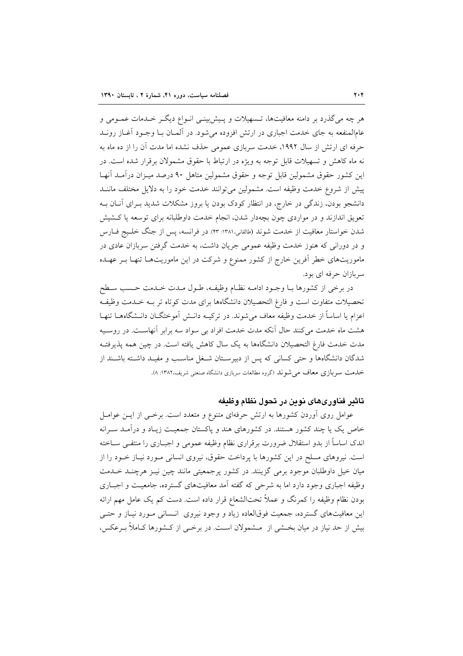هر چه میگذرد بر دامنه معافیتها، تـسهیلات و پـیش بینـی انـواع دیگـر خـدمات عمـومی و عامالمنفعه به جای خدمت اجباری در ارتش افزوده میشود. در آلمـان بـا وجـود آغـاز رونــد حرفه ای ارتش از سال ۱۹۹۲، خدمت سربازی عمومی حذف نشده اما مدت آن را از ده ماه به نه ماه کاهش و تسهیلات قابل توجه به ویژه در ارتباط با حقوق مشمولان برقرار شده است. در این کشور حقوق مشمولین قابل توجه و حقوق مشمولین متاهل ۹۰ درصد میـزان درآمـد آنهـا پیش از شروع خدمت وظیفه است. مشمولین می توانند خدمت خود را به دلایل مختلف ماننـد دانشجو بودن، زندگی در خارج، در انتظار کودک بودن یا بروز مشکلات شدید بـرای آنــان بــه تعویق اندازند و در مواردی چون بچهدار شدن، انجام خدمت داوطلبانه برای توسعه یا کشیش شدن خواستار معافیت از خدمت شوند (طالقانی،۱۳۸۱: ۴۳). در فرانسه، پس از جنگ خلـیج فــارس و در دورانی که هنوز خدمت وظیفه عمومی جریان داشت، به خدمت گرفتن سربازان عادی در ماموریتهای خطر آفرین خارج از کشور ممنوع و شرکت در این ماموریتهـا تنهـا بــر عهـده سربازان حرفه ای بود.

در برخی از کشورها بـا وجـود ادامـه نظـام وظیفـه، طـول مـدت خـدمت حـسب سـطح تحصیلات متفاوت است و فارغ التحصیلان دانشگاهها برای مدت کوتاه تر بــه خــدمت وظیفـه اعزام یا اساساً از خدمت وظیفه معاف میشوند. در ترکیـه دانـش آموختگــان دانـشگاههــا تنهـا هشت ماه خدمت می کنند حال آنکه مدت خدمت افراد بی سواد سه برابر آنهاست. در روسـیه مدت خدمت فارغ التحصيلان دانشگاهها به يک سال کاهش يافته است. در چين همه پذيرفتـه شدگان دانشگاهها و حتی کسانی که پس از دبیرسـتان شـغل مناسـب و مفیـد داشـته باشـند از خدمت سربازی معاف می شوند (گروه مطالعات سربازی دانشگاه صنعتی شریف،۱۳۸۲: ۸).

# تاثير فناورىهاى نوين در تحول نظام وظيفه

عوامل روی اَوردن کشورها به ارتش حرفهای متنوع و متعدد است. برخـی از ایــن عوامــل خاص یک یا چند کشور هستند. در کشورهای هند و پاکستان جمعیت زیـاد و درآمـد سـرانه اندک اساساً از بدو استقلال ضرورت برقراری نظام وظیفه عمومی و اجبـاری را منتفــی ســاخته است. نیروهای مسلح در این کشورها با پرداخت حقوق، نیروی انسانی مـورد نیـاز خـود را از میان خیل داوطلبان موجود برمی گزینند. در کشور پرجمعیتی مانند چین نیـز هرچنـد خــدمت وظیفه اجباری وجود دارد اما به شرحی که گفته آمد معافیتهای گسترده، جامعیت و اجباری بودن نظام وظیفه را کمرنگ و عملاً تحتالشعاع قرار داده است. دست کم یک عامل مهم ارائه این معافیتهای گسترده، جمعیت فوقالعاده زیاد و وجود نیروی انسانی مـورد نیـاز و حتـی بیش از حد نیاز در میان بخــشی از مــشمولان اســت. در برخــی از کــشورها کــاملاً بــرعکس،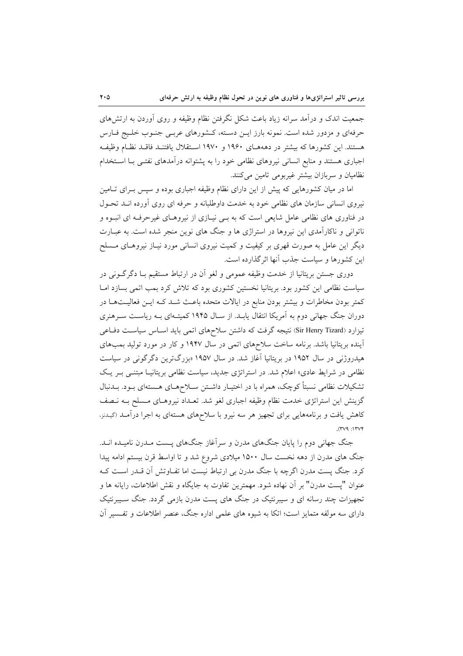جمعیت اندک و درآمد سرانه زیاد باعث شکل نگرفتن نظام وظیفه و روی آوردن به ارتشهای حرفهای و مزدور شده است. نمونه بارز ایـن دسـته، کـشورهای عربـی جنـوب خلـیج فـارس هستند. این کشورها که بیشتر در دهههـای ۱۹۶۰ و ۱۹۷۰ اسـتقلال یافتنـد فاقـد نظـام وظیفـه اجباری هستند و منابع انسانی نیروهای نظامی خود را به پشتوانه درآمدهای نفتـی بـا اسـتخدام نظامیان و سربازان بیشتر غیربومی تامین میکنند.

اما در میان کشورهایی که پیش از این دارای نظام وظیفه اجباری بوده و سپس بـرای تـامین نیروی انسانی سازمان های نظامی خود به خدمت داوطلبانه و حرفه ای روی آورده انـد تحـول در فناوری های نظامی عامل شایعی است که به بـی نیـازی از نیروهـای غیرحرفـه ای انبـوه و ناتوانی و ناکارآمدی این نیروها در استراژی ها و جنگ های نوین منجر شده است. به عبـارت دیگر این عامل به صورت قهری بر کیفیت و کمیت نیروی انسانی مورد نیـاز نیروهـای مـسلح این کشورها و سیاست جذب آنها اثر گذارده است.

دوری جستن بریتانیا از خدمت وظیفه عمومی و لغو أن در ارتباط مستقیم بـا دگرگــونی در سیاست نظامی این کشور بود. بریتانیا نخستین کشوری بود که تلاش کرد بمب اتمی بسازد امـا کمتر بودن مخاطرات و بیشتر بودن منابع در ایالات متحده باعث شـد کـه ایـن فعالیـتهـا در دوران جنگ جهانی دوم به آمریکا انتقال یابـد. از سـال ۱۹۴۵ کمیتـهای بـه ریاسـت سـرهنری تیزارد (Sir Henry Tizard) نتیجه گرفت که داشتن سلاحهای اتمی باید اسـاس سیاسـت دفــاعی آینده بریتانیا باشد. برنامه ساخت سلاحهای اتمی در سال ۱۹۴۷ و کار در مورد تولید بمبهای هیدروژنی در سال ۱۹۵۲ در بریتانیا آغاز شد. در سال ۱۹۵۷ «بزرگترین دگرگونی در سیاست نظامی در شرایط عادی» اعلام شد. در استراتژی جدید، سیاست نظامی بریتانیـا مبتنـی بـر یـک تشکیلات نظامی نسبتاً کوچک، همراه با در اختیـار داشــتن ســلاحهــای هــستهای بــود. بــدنبال گزینش این استراتژی خدمت نظام وظیفه اجباری لغو شد. تعـداد نیروهـای مـسلح بــه نــصف کاهش یافت و برنامههایی برای تجهیز هر سه نیرو با سلاحهای هستهای به اجرا درآمـد (گیـدنز،  $.$ (۳۷۹: ۱۳۷۴)

جنگ جهانی دوم را پایان جنگهای مدرن و سرآغاز جنگهای پـست مـدرن نامیـده انـد. جنگ های مدرن از دهه نخست سال ۱۵۰۰ میلادی شروع شد و تا اواسط قرن بیستم ادامه پیدا کرد. جنگ پست مدرن اگرچه با جنگ مدرن بی ارتباط نیست اما تفـاوتش آن قـدر اسـت کـه عنوان "يست مدرن" بر أن نهاده شود. مهمترين تفاوت به جايگاه و نقش اطلاعات، رايانه ها و تجهیزات چند رسانه ای و سیبرنتیک در جنگ های پست مدرن بازمی گردد. جنگ سـیبرنتیک دارای سه مولفه متمایز است؛ اتکا به شیوه های علمی اداره جنگ، عنصر اطلاعات و تفسیر آن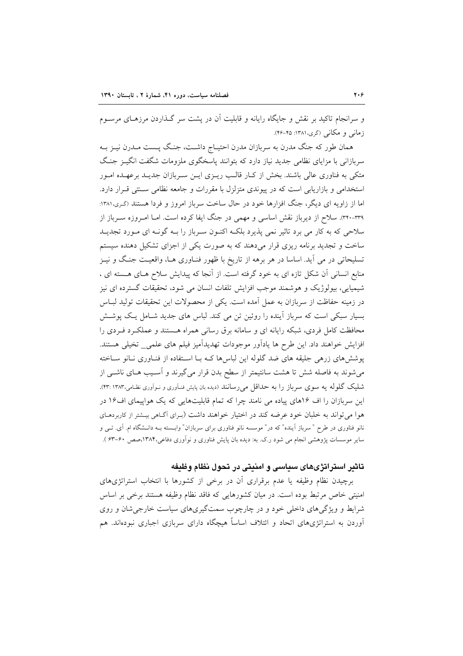و سرانجام تاکید بر نقش و جایگاه رایانه و قابلیت آن در پشت سر گـذاردن مرزهـای مرسـوم زمانی و مکانی (گری،۱۳۸۱: ۴۵-۴۶).

همان طور که جنگ مدرن به سربازان مدرن احتیـاج داشـت، جنـگ پــست مــدرن نیــز بــه سربازانی با مزایای نظامی جدید نیاز دارد که بتوانند پاسخگوی ملزومات شگفت انگیـز جنگ متکی به فناوری عالی باشند. بخش از کـار قالـب ریـزی ایـن سـربازان جدیـد برعهـده امـور استخدامی و بازاریابی است که در پیوندی متزلزل با مقررات و جامعه نظامی سـنتی قـرار دارد. اما از زاویه ای دیگر، جنگ افزارها خود در حال ساخت سرباز امروز و فردا هستند (گری،۱۳۸۱: ٣٣٠-٣٣٩). سلاح از ديرباز نقش اساسي و مهمي در جنگ ايفا كرده است. امــا امــروزه ســرباز از سلاحی که به کار می برد تاثیر نمی پذیرد بلکـه اکنـون سـرباز را بـه گونـه ای مـورد تجدیـد ساخت و تجدید برنامه ریزی قرار میدهند که به صورت یکی از اجزای تشکیل دهنده سیستم تسلیحاتی در می آید. اساسا در هر برهه از تاریخ با ظهور فنـاوری هـا، واقعیـت جنـگ و نیـز منابع انسانی آن شکل تازه ای به خود گرفته است. از آنجا که پیدایش سلاح هـای هـسته ای ، شیمیایی، بیولوژیک و هوشمند موجب افزایش تلفات انسان می شود، تحقیقات گسترده ای نیز در زمینه حفاظت از سربازان به عمل آمده است. یکی از محصولات این تحقیقات تولید لبـاس بسیار سبکی است که سرباز آینده را روئین تن می کند. لباس های جدید شـامل یـک پوشــش محافظت کامل فردی، شبکه رایانه ای و سامانه برق رسانی همراه هستند و عملک د ف دی را افزایش خواهند داد. این طرح ها یادآور موجودات تهدیدآمیز فیلم های علمی\_ تخیلی هستند. پوششهای زرهی جلیقه های ضد گلوله این لباسها کـه بـا اسـتفاده از فنـاوری نـانو سـاخته می شوند به فاصله شش تا هشت سانتیمتر از سطح بدن قرار می گیرند و آسـیب هـای ناشـی از شلیک گلوله یه سوی سرباز را به حداقل میرسانند (دیده بان پایش فنـآوری و نـوآوری نظـامی،۱۳۸۳: ۴۳:). این سربازان را اف ۱۶های پیاده می نامند چرا که تمام قابلیتهایی که یک هواپیمای اف۱۶ در هوا می تواند به خلبان خود عرضه کند در اختیار خواهند داشت (بـرای آگـاهی بیـشتر از کاربردهـای نانو فناوری در طرح " سرباز آینده" که در" موسسه نانو فناوری برای سربازان" وابــسته بــه دانــشگاه ام. آی. تــی و سایر موسسات پژوهشی انجام می شود ر.ک. به: دیده بان پایش فناوری و نوآوری دفاعی،۱۳۸۴،صص ۶۰-۶۳ ).

# تاثیر استراتژیهای سیاسی و امنیتی در تحول نظام وظیفه

برچیدن نظام وظیفه یا عدم برقراری آن در برخی از کشورها با انتخاب استراتژیهای امنیتی خاص مرتبط بوده است. در میان کشورهایی که فاقد نظام وظیفه هستند برخی بر اساس شرایط و ویژگیهای داخلی خود و در چارچوب سمتگیریهای سیاست خارجی شان و روی آوردن به استراتژیهای اتحاد و ائتلاف اساساً هیچگاه دارای سربازی اجباری نبودهاند. هم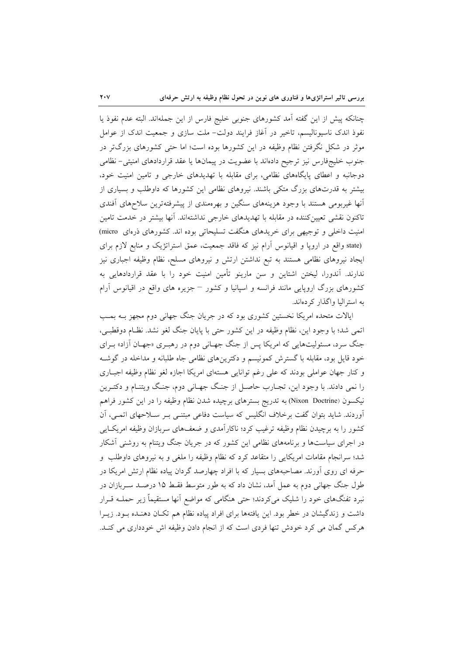چنانکه پیش از این گفته آمد کشورهای جنوبی خلیج فارس از این جملهاند. البته عدم نفوذ یا نفوذ اندک ناسیونالیسم، تاخیر در آغاز فرایند دولت– ملت سازی و جمعیت اندک از عوامل موثر در شکل نگرفتن نظام وظیفه در این کشورها بوده است؛ اما حتی کشورهای بزرگتر در جنوب خلیجفارس نیز ترجیح دادهاند با عضویت در پیمانها یا عقد قراردادهای امنیتی-نظامی دوجانبه و اعطای پایگاههای نظامی، برای مقابله با تهدیدهای خارجی و تامین امنیت خود، بیشتر به قدرتهای بزرگ متکی باشند. نیروهای نظامی این کشورها که داوطلب و بسیاری از آنها غیربومی هستند با وجود هزینههای سنگین و بهرهمندی از پیشرفتهترین سلاحهای آفندی تاکنون نقشی تعیینکننده در مقابله با تهدیدهای خارجی نداشتهاند. آنها بیشتر در خدمت تامین امنیت داخلی و توجیهی برای خریدهای هنگفت تسلیحاتی بوده اند. کشورهای ذرهای micro) (state واقع در اروپا و اقیانوس آرام نیز که فاقد جمعیت، عمق استراتژیک و منابع لازم برای ایجاد نیروهای نظامی هستند به تبع نداشتن ارتش و نیروهای مسلح، نظام وظیفه اجباری نیز ندارند. آندورا، لیختن اشتاین و سن مارینو تأمین امنیت خود را با عقد قراردادهایی به کشورهای بزرگ اروپایی مانند فرانسه و اسپانیا و کشور – جزیره های واقع در اقیانوس آرام به استرالیا واگذار کردهاند.

ایالات متحده امریکا نخستین کشوری بود که در جریان جنگ جهانی دوم مجهز بـه بمـب اتمي شد؛ با وجود اين، نظام وظيفه در اين كشور حتى با پايان جنگ لغو نشد. نظـام دوقطبـي، جنگ سرد، مسئولیتهایی که امریکا پس از جنگ جهـانی دوم در رهبـری «جهـان آزاد» بـرای خود قایل بود، مقابله با گسترش کمونیسم و دکترینهای نظامی جاه طلبانه و مداخله در گوشـه و كنار جهان عواملي بودند كه على رغم توانايي هستهاى امريكا اجازه لغو نظام وظيفه اجبارى را نمی دادند. با وجود این، تجـارب حاصـل از جنـگ جهـانی دوم، جنـگ ویتنـام و دکتـرین نیکسون (Nixon Doctrine) به تدریج بسترهای برچیده شدن نظام وظیفه را در این کشور فراهم آوردند. شاید بتوان گفت برخلاف انگلیس که سیاست دفاعی مبتنــی بــر ســلاحهای اتمــی، آن کشور را به برچیدن نظام وظیفه ترغیب کرد؛ ناکارآمدی و ضعفهای سربازان وظیفه امریکایی در اجرای سیاستها و برنامههای نظامی این کشور که در جریان جنگ ویتنام به روشنی آشکار شد؛ سرانجام مقامات امریکایی را متقاعد کرد که نظام وظیفه را ملغی و به نیروهای داوطلب ًو حرفه ای روی آورند. مصاحبههای بسیار که با افراد چهارصد گردان پیاده نظام ارتش امریکا در طول جنگ جهانی دوم به عمل آمد، نشان داد که به طور متوسط فقـط ۱۵ درصـد سـربازان در نبرد تفنگهای خود را شلیک میکردند؛ حتی هنگامی که مواضع آنها مستقیماً زیر حملـه قــرار داشت و زندگیشان در خطر بود. این یافتهها برای افراد پیاده نظام هم تکـان دهنـده بـود. زیـرا هرکس گمان می کرد خودش تنها فردی است که از انجام دادن وظیفه اش خودداری می کنـد.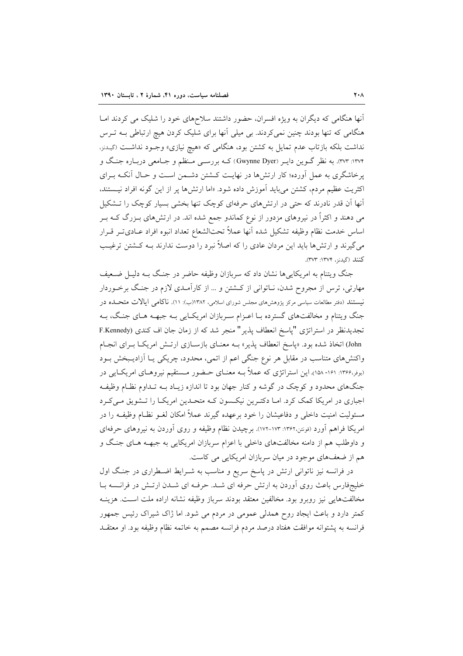آنها هنگامی که دیگران به ویژه افسران، حضور داشتند سلاحهای خود را شلیک می کردند امـا هنگامی که تنها بودند چنین نمی کردند. بی میلی آنها برای شلیک کردن هیچ ارتباطی بــه تــرس نداشت بلکه بازتاب عدم تمایل به کشتن بود، هنگامی که «هیچ نیازی» وجـود نداشـت (<sub>گسدنز</sub>, ۱۳۷۴: ۳۷۳. به نظر گــوین دایــر (Gwynne Dyer) کــه بررســی مــنظم و جــامعی دربــاره جنــگ و یرخاشگری به عمل آورده؛ کار ارتشها در نهایت کـشتن دشـمن اسـت و حـال آنکـه بـرای اکثریت عظیم مردم، کشتن میباید آموزش داده شود. «اما ارتشها پر از این گونه افراد نیستند، آنها آن قدر نادرند که حتی در ارتشهای حرفهای کوچک تنها بخشی بسیار کوچک را تـشکیل می دهند و اکثراً در نیروهای مزدور از نوع کماندو جمع شده اند. در ارتشهای بـزرگ کـه بـر اساس خدمت نظام وظيفه تشكيل شده آنها عملاً تحتالشعاع تعداد انبوه افراد عـادىتـر قـرار می گیرند و ارتشها باید این مردان عادی را که اصلاً نبرد را دوست ندارند بـه کـشتن ترغیـب كنند (گيدنز، ١٣٧٤: ٣٧٣).

جنگ ویتنام به امریکاییها نشان داد که سربازان وظیفه حاضر در جنگ بـه دلیـل ضـعیف مهارتی، ترس از مجروح شدن، نـاتوانی از کــشتن و … از کارآمـدی لازم در جنـگ برخــوردار نیستند (دفتر مطالعات سیاسی مرکز پژوهشهای مجلس شورای اسلامی، ۱۳۸۲(ب): ۱۱). ناکامی ایالات متحــده در جنگ ویتنام و مخالفتهای گسترده بـا اعـزام سـربازان امریکـایی بـه جبهـه هـای جنـگ، بـه تجدیدنظر در استراتژی "پاسخ انعطاف پذیر" منجر شد که از زمان جان اف کندی (F.Kennedy John) اتخاذ شده بود. «پاسخ انعطاف پذیر» بـه معنـای بازسـازی ارتـش امریکـا بـرای انجـام واکنشهای متناسب در مقابل هر نوع جنگی اعم از اتمی، محدود، چریکی یـا آزادیـبخش بـود (بوفر،۱۳۶۶: ۱۶۱- ۱۵۸). این استراتژی که عملاً بــه معنــای حــضور مــستقیم نیروهــای امریکــایی در جنگهای محدود و کوچک در گوشه و کنار جهان بود تا اندازه زیـاد بـه تـداوم نظـام وظیفـه اجباری در امریکا کمک کرد. امـا دکتـرین نیکـسون کـه متحـدین امریکـا را تـشویق مـیکـرد مسئولیت امنیت داخلی و دفاعیشان را خود برعهده گیرند عملاً امکان لغــو نظــام وظیفــه را در امریکا فراهم آورد (فونتن،۱۳۶۲: ۱۷۳-۱۷۳). برچیدن نظام وظیفه و روی آوردن به نیروهای حرفهای و داوطلب هم از دامنه مخالفتهای داخلی با اعزام سربازان امریکایی به جبهــه هــای جنـگ و هم از ضعفهای موجود در میان سربازان امریکایی می کاست.

در فرانسه نیز ناتوانی ارتش در پاسخ سریع و مناسب به شـرایط اضـطراری در جنگ اول خلیجفارس باعث روی آوردن به ارتش حرفه ای شـد. حرفـه ای شــدن ارتـش در فرانــسه بــا مخالفتهایی نیز روبرو بود. مخالفین معتقد بودند سرباز وظیفه نشانه اراده ملت است. هزینـه کمتر دارد و باعث ایجاد روح همدلی عمومی در مردم می شود. اما ژاک شیراک رئیس جمهور فرانسه به پشتوانه موافقت هفتاد درصد مردم فرانسه مصمم به خاتمه نظام وظيفه بود. او معتقـد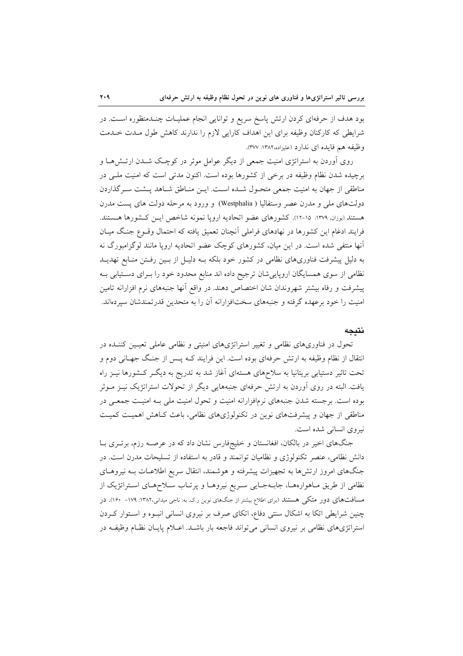بود هدف از حرفهای کردن ارتش پاسخ سریع و توانایی انجام عملیـات چنــدمنظوره اســت. در شرایطی که کارکنان وظیفه برای این اهداف کارایی لازم را ندارند کاهش طول مـدت خـدمت وظيفه هم فايده اي ندارد (عليزاده،١٣٨٢: ٣٧٧).

روی آوردن به استراتژی امنیت جمعی از دیگر عوامل موثر در کوچک شـدن ارتـش۱ما و برچیده شدن نظام وظیفه در برخی از کشورها بوده است. اکنون مدتی است که امنیت ملبی در مناطقی از جهان به امنیت جمعی متحـول شـده اسـت. ایـن منـاطق شـاهد پـشت سـرگذاردن دولتهای ملی و مدرن عصر وستفالیا ( Westphalia) و ورود به مرحله دولت های پست مدرن هستند (بوزان، ١٣٧٩: ١٥-١٢). كشورهاي عضو اتحاديه ارويا نمونه شاخص ايـن كـشورها هـستند. فرایند ادغام این کشورها در نهادهای فراملی اّنچنان تعمیق یافته که احتمال وقــوع جنـگ میــان آنها منتفی شده است. در این میان، کشورهای کوچک عضو اتحادیه اروپا مانند لوگزامبورگ نه به دلیا ٍ پیشرفت فناوریهای نظامی در کشور خود بلکه بـه دلیـل از بـین رفـتن منـابع تهدیــد نظامی از سوی همسایگان اروپاییشان ترجیح داده اند منابع محدود خود را بـرای دســتیابی بــه پیشرفت و رفاه بیشتر شهروندان شان اختصاص دهند. در واقع أنها جنبههای نرم افزارانه تامین امنیت را خود برعهده گرفته و جنبههای سختافزارانه آن را به متحدین قدرتمندشان سپردهاند.

#### نتىجە

تحول در فناوریهای نظامی و تغییر استراتژیهای امنیتی و نظامی عاملی تعیـین کننـده در انتقال از نظام وظیفه به ارتش حرفهای بوده است. این فرایند کـه پـس از جنـگ جهـانی دوم و تحت تاثیر دستیابی بریتانیا به سلاحهای هستهای آغاز شد به تدریج به دیگـر کـشورها نیــز راه یافت. البته در روی آوردن به ارتش حرفهای جنبههایی دیگر از تحولات استراتژیک نیـز مـوثر بوده است. برجسته شدن جنبههای نرمافزارانه امنیت و تحول امنیت ملی بـه امنیـت جمعـی در مناطقی از جهان و پیشرفتهای نوین در تکنولوژیهای نظامی، باعث کـاهش اهمیـت کمیـت نیروی انسانی شده است.

جنگهای اخیر در بالکان، افغانستان و خلیجفارس نشان داد که در عرصـه رزم، برتـری بـا دانش نظامی، عنصر تکنولوژی و نظامیان توانمند و قادر به استفاده از تسلیحات مدرن است. در جنگهای امروز ارتشها به تجهیزات پیشرفته و هوشمند، انتقال سریع اطلاعـات بــه نیروهـای نظامی از طریق مـاهوارههـا، جابـهجـایی سـریع نیروهـا و پرتـاب سـلاحهـای اسـتراتژیک از مسافتهای دور متکی هستند (برای اطلاع بیشتر از جنگهای نوین ر.ک. به: ناجی میدانی،۱۳۸۲: ۱۷۹– ۱۶۰). در چنین شرایطی اتکا به اشکال سنتی دفاع، اتکای صرف بر نیروی انسانی انبـوه و اسـتوار کـردن استراتژیهای نظامی بر نیروی انسانی می تواند فاجعه بار باشـد. اعـلام پایـان نظـام وظیفـه در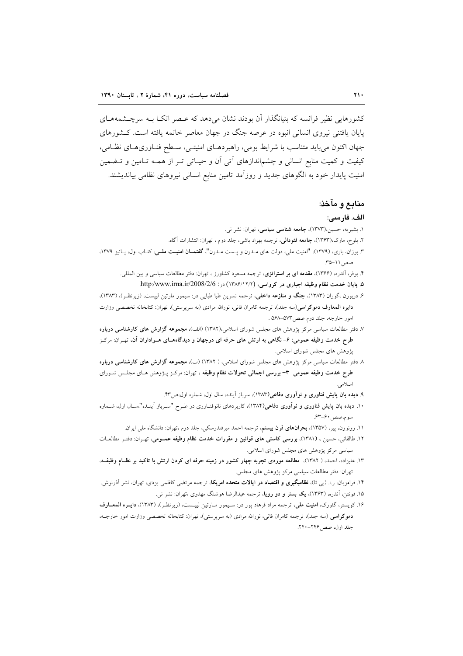کشورهایی نظیر فرانسه که بنیانگذار آن بودند نشان می دهد که عبصر اتکیا بیه سرچیشمههیای پایان یافتنی نیروی انسانی انبوه در عرصه جنگ در جهان معاصر خاتمه یافته است. کـشورهای جهان اکنون می باید متناسب با شرایط بومی، راهبردهـای امنیتـی، سـطح فنـاوریهـای نظـامی، کیفیت و کمیت منابع انسانی و چشماندازهای آتی آن و حیـاتی تـر از همـه تـامین و تـضمین امنیت پایدار خود به الگوهای جدید و روزآمد تامین منابع انسانی نیروهای نظامی بیاندیشند.

## منابع و مآخذ:

#### الف. فارسى:

- ١. بشيريه، حسين،(١٣٧٣)، جامعه شناسي سياسي، تهران: نشر ني.
- ۲. بلوخ، مارک،(۱۳۶۳)، **جامعه فئودالی**، ترجمه بهزاد باشی، جلد دوم ، تهران: انتشارات آگاه.
- ۳. بوزان، باری، (۱۳۷۹)، "امنیت ملی، دولت های مـدرن و یـست مـدرن"، **گفتمــان امنیــت ملــی**، کتــاب اول، پــائیز ۱۳۷۹، صص ١١-٣۵.
	- ۴. بوفر، آندره، (۱۳۶۶)، **مقدمه ای بر استراتژی**، ترجمه مسعود کشاورز ، تهران: دفتر مطالعات سیاسی و بین المللی.
	- ۵. پایان خدمت نظام وظیفه اجباری در کرواسی، (۱۲/۶/۱۲/۲) در: http:/www.irna.ir/2008/2/6.
- ۶. دربورن ،گوران (۱۳۸۳)، **جنگ و منازعه داخلی**، ترجمه نسرین طبا طبای<sub>ی</sub> در: سیمور مارتین لیپست، (زیرنظـر)، (۱۳۸۳)، **دایره المعارف دموکراسی**(سه جلد)، ترجمه کامران فانی، نورالله مرادی (به سرپرستی)، تهران: کتابخانه تخصصی وزارت امور خارجه، جلد دوم صص"٥٧-٥۶٨.
- ۷. دفتر مطالعات سیاسی مرکز پژوهش های مجلس شورای اسلامی،(۱۳۸۲) (الف)، مجموعه گزارش های کارشناسی درباره طرح خدمت وظیفه عمومی: ۶– نگاهی به ارتش های حرفه ای درجهان و دیدگاههـای هــواداران آن. تهــران: مرکــز پژوهش های مجلس شورای اسلامی.
- ۸ دفتر مطالعات سیاسی مرکز پژوهش های مجلس شورای اسلامی، ( ۱۳۸۲) (ب)، مجموعه گزا**رش های کارشناسی درباره** طرح خدمت وظیفه عمومی ۳- بررسی اجمالی تحولات نظام وظیفه ، تهران: مرکـز پــژوهش هـای مجلـس شــورای اسلامي.
	- ۹. دیده بان پایش فناوری و نوآوری دفاعی(۱۳۸۳)، سرباز آینده، سال اول، شماره اول،ص۳۳.
- ۱۰. دیده بان پایش فناوری و نوآوری دفاعی(۱۳۸۴)، کاربردهای نانوفنـاوری در طـرح "سـرباز آینـده"،سـال اول، شــماره سوم،صص، ۶۳-۶۳.
	- ۱۱. رونوون، پیر، (۱۳۵۷)، **بحرانهای قرن بیستم**، ترجمه احمد میرفندرسکی، جلد دوم ،تهران: دانشگاه ملی ایران.
- ۱۲. طالقانی، حسین ، (۱۳۸۱)، بررسی کا<mark>ستی های قوانین و مقررات خدمت نظام وظیفه عمــومی</mark>، تهـران: دفتـر مطالعــات سیاسی مرکز یژوهش های مجلس شورای اسلامی.
- ۱۳. علیزاده، احمد، ( ۱۳۸۲)، مطالعه موردی تجربه چهار کشور در زمینه حرفه ای کردن ارتش با تاکید بر نظـام وظیفــه، تهران: دفتر مطالعات سیاسی مرکز پژوهش های مجلس.
- ۱۴. فرامزیان، ر.ا. (ب<sub>ی</sub> تا)، **نظامیگیری و اقتصاد در ایالات متحده امریکا**، ترجمه مرتضی کاظمی یزدی، تهران، نشر آذرنوش. ۱۵. فونتن، آندره، (۱۳۶۳)، **یک بستر و دو رویا**، ترجمه عبدالرضا هوشنگ مهدوی ،تهران: نشر ن<sub>ی</sub>.
- ۱۶. کویستر، گئورک، ا**منیت ملی**، ترجمه مراد فرهاد پور در: سـیمور مـارتین لیپـست، (زیرنظـر)، (۱۳۸۳)، **دایــره المعــارف** دموکراسی (سه جلد)، ترجمه کامران فانی، نورالله مرادی (به سرپرستی)، تهران: کتابخانه تخصصی وزارت امور خارجــه، جلد اول، صص ۲۴۶-۲۴۰.